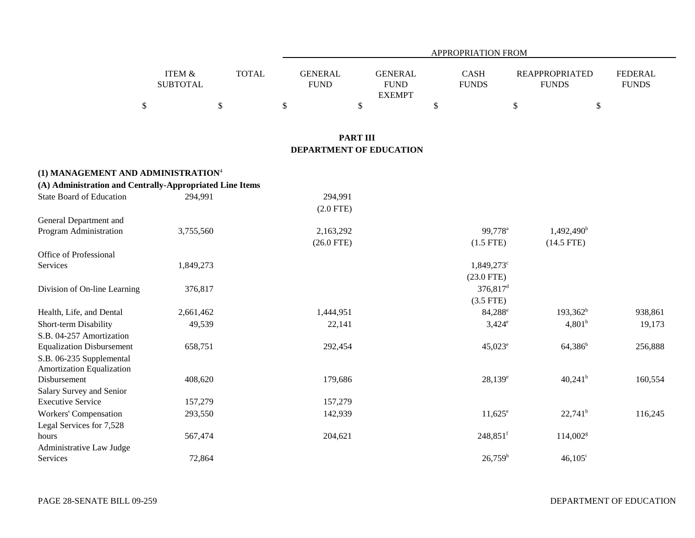|                                                          |                                      |              |                               |                                                | APPROPRIATION FROM          |                                       |                                |
|----------------------------------------------------------|--------------------------------------|--------------|-------------------------------|------------------------------------------------|-----------------------------|---------------------------------------|--------------------------------|
|                                                          | <b>ITEM &amp;</b><br><b>SUBTOTAL</b> | <b>TOTAL</b> | <b>GENERAL</b><br><b>FUND</b> | <b>GENERAL</b><br><b>FUND</b><br><b>EXEMPT</b> | <b>CASH</b><br><b>FUNDS</b> | <b>REAPPROPRIATED</b><br><b>FUNDS</b> | <b>FEDERAL</b><br><b>FUNDS</b> |
|                                                          | $\$$                                 | $\$\,$       | \$                            | \$                                             | \$                          | \$                                    | \$                             |
|                                                          |                                      |              | <b>PART III</b>               |                                                |                             |                                       |                                |
|                                                          |                                      |              |                               | DEPARTMENT OF EDUCATION                        |                             |                                       |                                |
| (1) MANAGEMENT AND ADMINISTRATION <sup>4</sup>           |                                      |              |                               |                                                |                             |                                       |                                |
| (A) Administration and Centrally-Appropriated Line Items |                                      |              |                               |                                                |                             |                                       |                                |
| <b>State Board of Education</b>                          | 294,991                              |              | 294,991                       |                                                |                             |                                       |                                |
|                                                          |                                      |              | $(2.0$ FTE)                   |                                                |                             |                                       |                                |
| General Department and                                   |                                      |              |                               |                                                |                             |                                       |                                |
| Program Administration                                   | 3,755,560                            |              | 2,163,292                     |                                                | 99,778 <sup>a</sup>         | 1,492,490 <sup>b</sup>                |                                |
|                                                          |                                      |              | $(26.0$ FTE)                  |                                                | $(1.5$ FTE)                 | $(14.5$ FTE)                          |                                |
| Office of Professional                                   |                                      |              |                               |                                                |                             |                                       |                                |
| Services                                                 | 1,849,273                            |              |                               |                                                | 1,849,273°                  |                                       |                                |
|                                                          |                                      |              |                               |                                                | $(23.0$ FTE)                |                                       |                                |
| Division of On-line Learning                             | 376,817                              |              |                               |                                                | 376,817 <sup>d</sup>        |                                       |                                |
|                                                          |                                      |              |                               |                                                | $(3.5$ FTE)                 |                                       |                                |
| Health, Life, and Dental                                 | 2,661,462                            |              | 1,444,951                     |                                                | 84,288 <sup>e</sup>         | $193,362^b$                           | 938,861                        |
| Short-term Disability                                    | 49,539                               |              | 22,141                        |                                                | $3,424^e$                   | 4,801 <sup>b</sup>                    | 19,173                         |
| S.B. 04-257 Amortization                                 |                                      |              |                               |                                                |                             |                                       |                                |
| <b>Equalization Disbursement</b>                         | 658,751                              |              | 292,454                       |                                                | $45,023^e$                  | $64,386^b$                            | 256,888                        |
| S.B. 06-235 Supplemental                                 |                                      |              |                               |                                                |                             |                                       |                                |
| <b>Amortization Equalization</b>                         |                                      |              |                               |                                                |                             |                                       |                                |
| Disbursement                                             | 408,620                              |              | 179,686                       |                                                | $28,139^e$                  | $40,241^{\rm b}$                      | 160,554                        |
| Salary Survey and Senior                                 |                                      |              |                               |                                                |                             |                                       |                                |
| <b>Executive Service</b>                                 | 157,279                              |              | 157,279                       |                                                |                             |                                       |                                |
| <b>Workers' Compensation</b>                             | 293,550                              |              | 142,939                       |                                                | $11,625^{\circ}$            | $22,741^b$                            | 116,245                        |
| Legal Services for 7,528                                 |                                      |              |                               |                                                |                             |                                       |                                |
| hours                                                    | 567,474                              |              | 204,621                       |                                                | 248,851f                    | $114,002$ <sup>g</sup>                |                                |
| Administrative Law Judge                                 |                                      |              |                               |                                                |                             |                                       |                                |
| Services                                                 | 72,864                               |              |                               |                                                | 26,759 <sup>h</sup>         | $46,105$ <sup>i</sup>                 |                                |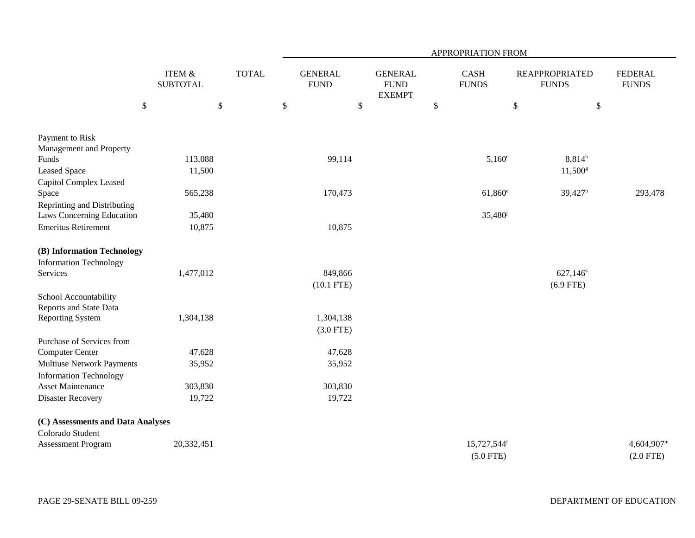|                                                                   |                           | APPROPRIATION FROM |                               |                                                |                      |                           |                                       |                                    |  |  |  |  |  |
|-------------------------------------------------------------------|---------------------------|--------------------|-------------------------------|------------------------------------------------|----------------------|---------------------------|---------------------------------------|------------------------------------|--|--|--|--|--|
|                                                                   | ITEM &<br><b>SUBTOTAL</b> | <b>TOTAL</b>       | <b>GENERAL</b><br><b>FUND</b> | <b>GENERAL</b><br><b>FUND</b><br><b>EXEMPT</b> | CASH<br><b>FUNDS</b> |                           | <b>REAPPROPRIATED</b><br><b>FUNDS</b> | <b>FEDERAL</b><br><b>FUNDS</b>     |  |  |  |  |  |
| $\boldsymbol{\mathsf{S}}$                                         | $\mathbb{S}$              |                    | \$                            | $\mathcal{S}$                                  | $\mathbb{S}$         | $\mathbb{S}$              |                                       | $\$\,$                             |  |  |  |  |  |
| Payment to Risk<br>Management and Property                        |                           |                    |                               |                                                |                      |                           |                                       |                                    |  |  |  |  |  |
| Funds                                                             | 113,088                   |                    | 99,114                        |                                                |                      | $5,160^{\circ}$           | $8,814^{b}$                           |                                    |  |  |  |  |  |
| <b>Leased Space</b><br>Capitol Complex Leased                     | 11,500                    |                    |                               |                                                |                      |                           | $11,500^{\rm g}$                      |                                    |  |  |  |  |  |
| Space<br>Reprinting and Distributing                              | 565,238                   |                    | 170,473                       |                                                |                      | $61,860^e$                | $39,427$ <sup>b</sup>                 | 293,478                            |  |  |  |  |  |
| Laws Concerning Education                                         | 35,480                    |                    |                               |                                                |                      | 35,480 <sup>j</sup>       |                                       |                                    |  |  |  |  |  |
| <b>Emeritus Retirement</b>                                        | 10,875                    |                    | 10,875                        |                                                |                      |                           |                                       |                                    |  |  |  |  |  |
| (B) Information Technology                                        |                           |                    |                               |                                                |                      |                           |                                       |                                    |  |  |  |  |  |
| <b>Information Technology</b>                                     |                           |                    |                               |                                                |                      |                           |                                       |                                    |  |  |  |  |  |
| Services                                                          | 1,477,012                 |                    | 849,866                       |                                                |                      |                           | $627,146^k$                           |                                    |  |  |  |  |  |
|                                                                   |                           |                    | $(10.1$ FTE)                  |                                                |                      |                           | $(6.9$ FTE)                           |                                    |  |  |  |  |  |
| School Accountability<br>Reports and State Data                   |                           |                    |                               |                                                |                      |                           |                                       |                                    |  |  |  |  |  |
| <b>Reporting System</b>                                           | 1,304,138                 |                    | 1,304,138                     |                                                |                      |                           |                                       |                                    |  |  |  |  |  |
|                                                                   |                           |                    | $(3.0$ FTE)                   |                                                |                      |                           |                                       |                                    |  |  |  |  |  |
| Purchase of Services from                                         |                           |                    |                               |                                                |                      |                           |                                       |                                    |  |  |  |  |  |
| Computer Center                                                   | 47,628                    |                    | 47,628                        |                                                |                      |                           |                                       |                                    |  |  |  |  |  |
| <b>Multiuse Network Payments</b><br><b>Information Technology</b> | 35,952                    |                    | 35,952                        |                                                |                      |                           |                                       |                                    |  |  |  |  |  |
| <b>Asset Maintenance</b>                                          | 303,830                   |                    | 303,830                       |                                                |                      |                           |                                       |                                    |  |  |  |  |  |
| <b>Disaster Recovery</b>                                          | 19,722                    |                    | 19,722                        |                                                |                      |                           |                                       |                                    |  |  |  |  |  |
| (C) Assessments and Data Analyses                                 |                           |                    |                               |                                                |                      |                           |                                       |                                    |  |  |  |  |  |
| Colorado Student                                                  |                           |                    |                               |                                                |                      |                           |                                       |                                    |  |  |  |  |  |
| <b>Assessment Program</b>                                         | 20,332,451                |                    |                               |                                                |                      | 15,727,544<br>$(5.0$ FTE) |                                       | $4,604,907^{\rm m}$<br>$(2.0$ FTE) |  |  |  |  |  |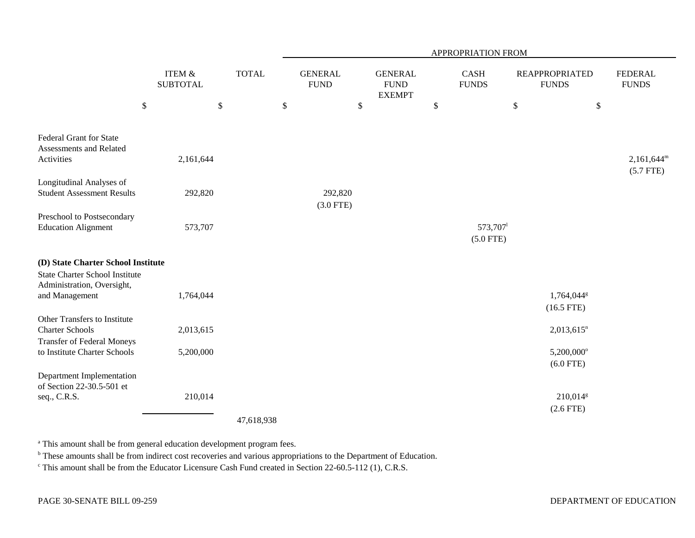|                                                                                             |                                      | APPROPRIATION FROM |                               |                        |                                                |      |                        |                                        |                                |  |  |
|---------------------------------------------------------------------------------------------|--------------------------------------|--------------------|-------------------------------|------------------------|------------------------------------------------|------|------------------------|----------------------------------------|--------------------------------|--|--|
|                                                                                             | <b>ITEM &amp;</b><br><b>SUBTOTAL</b> | <b>TOTAL</b>       | <b>GENERAL</b><br><b>FUND</b> |                        | <b>GENERAL</b><br><b>FUND</b><br><b>EXEMPT</b> |      | CASH<br><b>FUNDS</b>   | <b>REAPPROPRIATED</b><br><b>FUNDS</b>  | <b>FEDERAL</b><br><b>FUNDS</b> |  |  |
|                                                                                             | $\mathbb{S}$                         | $\$$               | \$                            | \$                     |                                                | $\$$ |                        | $\mathbb{S}$                           | $\mathbb{S}$                   |  |  |
| <b>Federal Grant for State</b><br>Assessments and Related<br>Activities                     | 2,161,644                            |                    |                               |                        |                                                |      |                        |                                        | $2,161,644^m$                  |  |  |
|                                                                                             |                                      |                    |                               |                        |                                                |      |                        |                                        | $(5.7$ FTE)                    |  |  |
| Longitudinal Analyses of<br><b>Student Assessment Results</b>                               | 292,820                              |                    |                               | 292,820<br>$(3.0$ FTE) |                                                |      |                        |                                        |                                |  |  |
| Preschool to Postsecondary<br><b>Education Alignment</b>                                    | 573,707                              |                    |                               |                        |                                                |      | 573,707<br>$(5.0$ FTE) |                                        |                                |  |  |
| (D) State Charter School Institute<br><b>State Charter School Institute</b>                 |                                      |                    |                               |                        |                                                |      |                        |                                        |                                |  |  |
| Administration, Oversight,<br>and Management                                                | 1,764,044                            |                    |                               |                        |                                                |      |                        | 1,764,044 <sup>g</sup><br>$(16.5$ FTE) |                                |  |  |
| Other Transfers to Institute<br><b>Charter Schools</b><br><b>Transfer of Federal Moneys</b> | 2,013,615                            |                    |                               |                        |                                                |      |                        | $2,013,615$ <sup>n</sup>               |                                |  |  |
| to Institute Charter Schools                                                                | 5,200,000                            |                    |                               |                        |                                                |      |                        | 5,200,000°<br>$(6.0$ FTE)              |                                |  |  |
| Department Implementation<br>of Section 22-30.5-501 et<br>seq., C.R.S.                      | 210,014                              |                    |                               |                        |                                                |      |                        | 210,014 <sup>g</sup><br>$(2.6$ FTE)    |                                |  |  |
|                                                                                             |                                      | 17.6000            |                               |                        |                                                |      |                        |                                        |                                |  |  |

47,618,938

<sup>a</sup> This amount shall be from general education development program fees.

b These amounts shall be from indirect cost recoveries and various appropriations to the Department of Education.

c This amount shall be from the Educator Licensure Cash Fund created in Section 22-60.5-112 (1), C.R.S.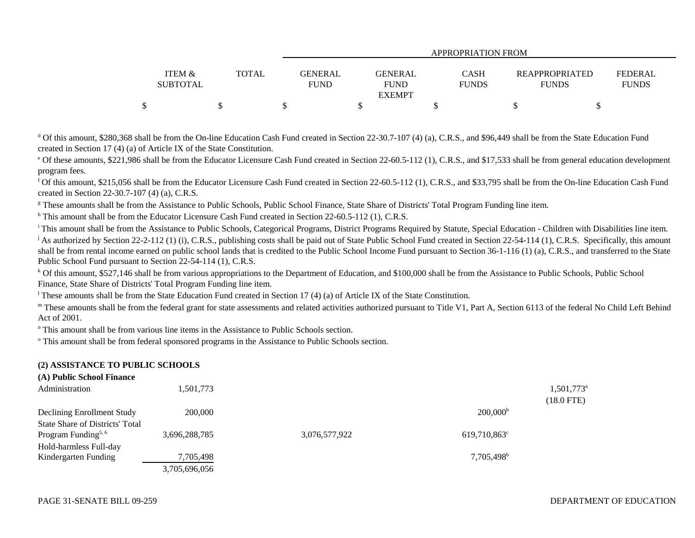| APPROPRIATION FROM |              |  |                                             |              |                |                |  |  |  |  |  |
|--------------------|--------------|--|---------------------------------------------|--------------|----------------|----------------|--|--|--|--|--|
| ITEM &             | <b>TOTAL</b> |  | GENERAL<br>GENERAL                          | CASH         | REAPPROPRIATED | <b>FEDERAL</b> |  |  |  |  |  |
| <b>SUBTOTAL</b>    |              |  | <b>FUND</b><br><b>FUND</b><br><b>EXEMPT</b> | <b>FUNDS</b> | <b>FUNDS</b>   | <b>FUNDS</b>   |  |  |  |  |  |
|                    |              |  |                                             |              |                |                |  |  |  |  |  |

<sup>d</sup> Of this amount, \$280,368 shall be from the On-line Education Cash Fund created in Section 22-30.7-107 (4) (a), C.R.S., and \$96,449 shall be from the State Education Fund created in Section 17 (4) (a) of Article IX of the State Constitution.

<sup>e</sup> Of these amounts, \$221,986 shall be from the Educator Licensure Cash Fund created in Section 22-60.5-112 (1), C.R.S., and \$17,533 shall be from general education development program fees.

f Of this amount, \$215,056 shall be from the Educator Licensure Cash Fund created in Section 22-60.5-112 (1), C.R.S., and \$33,795 shall be from the On-line Education Cash Fund created in Section 22-30.7-107 (4) (a), C.R.S.

<sup>g</sup> These amounts shall be from the Assistance to Public Schools, Public School Finance, State Share of Districts' Total Program Funding line item.

 $h$  This amount shall be from the Educator Licensure Cash Fund created in Section 22-60.5-112 (1), C.R.S.

<sup>i</sup> This amount shall be from the Assistance to Public Schools, Categorical Programs, District Programs Required by Statute, Special Education - Children with Disabilities line item. <sup>j</sup> As authorized by Section 22-2-112 (1) (i), C.R.S., publishing costs shall be paid out of State Public School Fund created in Section 22-54-114 (1), C.R.S. Specifically, this amount shall be from rental income earned on public school lands that is credited to the Public School Income Fund pursuant to Section 36-1-116 (1) (a), C.R.S., and transferred to the State Public School Fund pursuant to Section 22-54-114 (1), C.R.S.

<sup>k</sup> Of this amount, \$527,146 shall be from various appropriations to the Department of Education, and \$100,000 shall be from the Assistance to Public Schools, Public School Finance, State Share of Districts' Total Program Funding line item.

<sup>1</sup> These amounts shall be from the State Education Fund created in Section 17 (4) (a) of Article IX of the State Constitution.

m These amounts shall be from the federal grant for state assessments and related activities authorized pursuant to Title V1, Part A, Section 6113 of the federal No Child Left Behind Act of 2001.

n This amount shall be from various line items in the Assistance to Public Schools section.

o This amount shall be from federal sponsored programs in the Assistance to Public Schools section.

### **(2) ASSISTANCE TO PUBLIC SCHOOLS**

| (A) Public School Finance<br>Administration                               | 1,501,773     |               |                        | $1,501,773$ <sup>a</sup><br>$(18.0$ FTE) |
|---------------------------------------------------------------------------|---------------|---------------|------------------------|------------------------------------------|
| Declining Enrollment Study                                                | 200,000       |               | $200,000^{\rm b}$      |                                          |
| <b>State Share of Districts' Total</b><br>Program Funding <sup>5, 6</sup> | 3,696,288,785 | 3,076,577,922 | $619,710,863^{\circ}$  |                                          |
| Hold-harmless Full-day                                                    |               |               |                        |                                          |
| Kindergarten Funding                                                      | 7,705,498     |               | 7,705,498 <sup>b</sup> |                                          |
|                                                                           | 3,705,696,056 |               |                        |                                          |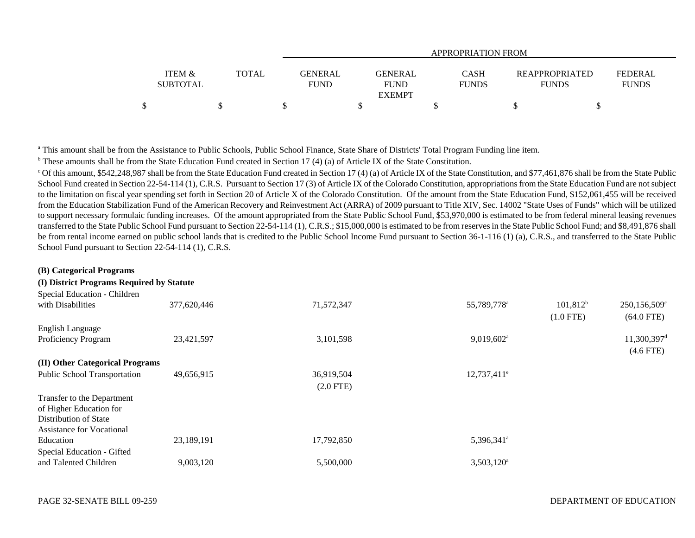|                                      |              | APPROPRIATION FROM                                             |                      |                                       |                                |  |  |  |  |  |  |  |
|--------------------------------------|--------------|----------------------------------------------------------------|----------------------|---------------------------------------|--------------------------------|--|--|--|--|--|--|--|
| <b>ITEM &amp;</b><br><b>SUBTOTAL</b> | <b>TOTAL</b> | <b>GENERAL</b><br><b>GENERAL</b><br><b>FUND</b><br><b>FUND</b> | CASH<br><b>FUNDS</b> | <b>REAPPROPRIATED</b><br><b>FUNDS</b> | <b>FEDERAL</b><br><b>FUNDS</b> |  |  |  |  |  |  |  |
|                                      |              | <b>EXEMPT</b>                                                  |                      |                                       |                                |  |  |  |  |  |  |  |
|                                      |              |                                                                |                      |                                       |                                |  |  |  |  |  |  |  |

<sup>a</sup> This amount shall be from the Assistance to Public Schools, Public School Finance, State Share of Districts' Total Program Funding line item.

 $<sup>b</sup>$  These amounts shall be from the State Education Fund created in Section 17 (4) (a) of Article IX of the State Constitution.</sup>

 $^{\circ}$  Of this amount, \$542,248,987 shall be from the State Education Fund created in Section 17 (4) (a) of Article IX of the State Constitution, and \$77,461,876 shall be from the State Public School Fund created in Section 22-54-114 (1), C.R.S. Pursuant to Section 17 (3) of Article IX of the Colorado Constitution, appropriations from the State Education Fund are not subject to the limitation on fiscal year spending set forth in Section 20 of Article X of the Colorado Constitution. Of the amount from the State Education Fund, \$152,061,455 will be received from the Education Stabilization Fund of the American Recovery and Reinvestment Act (ARRA) of 2009 pursuant to Title XIV, Sec. 14002 "State Uses of Funds" which will be utilized to support necessary formulaic funding increases. Of the amount appropriated from the State Public School Fund, \$53,970,000 is estimated to be from federal mineral leasing revenues transferred to the State Public School Fund pursuant to Section 22-54-114 (1), C.R.S.; \$15,000,000 is estimated to be from reserves in the State Public School Fund; and \$8,491,876 shall be from rental income earned on public school lands that is credited to the Public School Income Fund pursuant to Section 36-1-116 (1) (a), C.R.S., and transferred to the State Public School Fund pursuant to Section 22-54-114 (1), C.R.S.

| (B) Categorical Programs                  |             |                           |                          |                            |                                          |
|-------------------------------------------|-------------|---------------------------|--------------------------|----------------------------|------------------------------------------|
| (I) District Programs Required by Statute |             |                           |                          |                            |                                          |
| Special Education - Children              |             |                           |                          |                            |                                          |
| with Disabilities                         | 377,620,446 | 71,572,347                | 55,789,778 <sup>a</sup>  | $101,812^b$<br>$(1.0$ FTE) | 250,156,509°<br>$(64.0$ FTE)             |
| <b>English Language</b>                   |             |                           |                          |                            |                                          |
| Proficiency Program                       | 23,421,597  | 3,101,598                 | $9,019,602$ <sup>a</sup> |                            | $11,300,397$ <sup>d</sup><br>$(4.6$ FTE) |
| (II) Other Categorical Programs           |             |                           |                          |                            |                                          |
| <b>Public School Transportation</b>       | 49,656,915  | 36,919,504<br>$(2.0$ FTE) | $12,737,411^e$           |                            |                                          |
| Transfer to the Department                |             |                           |                          |                            |                                          |
| of Higher Education for                   |             |                           |                          |                            |                                          |
| Distribution of State                     |             |                           |                          |                            |                                          |
| <b>Assistance for Vocational</b>          |             |                           |                          |                            |                                          |
| Education                                 | 23,189,191  | 17,792,850                | 5,396,341 <sup>a</sup>   |                            |                                          |
| Special Education - Gifted                |             |                           |                          |                            |                                          |
| and Talented Children                     | 9,003,120   | 5,500,000                 | $3,503,120^a$            |                            |                                          |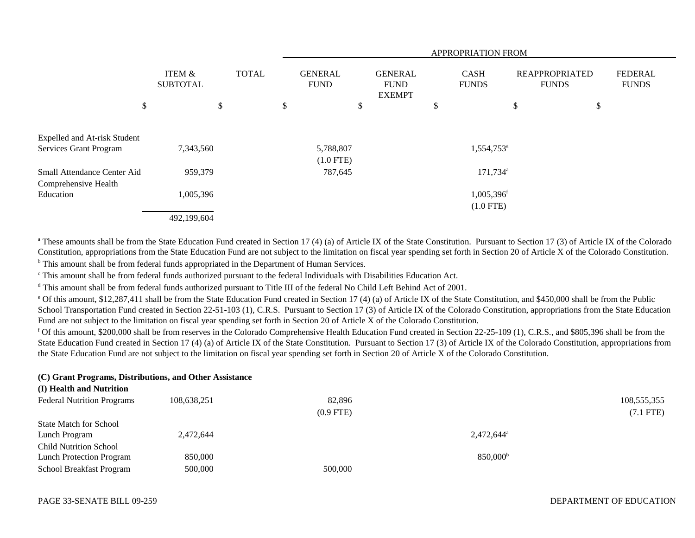|                                                                      |                                      |              |                               |                                                | APPROPRIATION FROM |                             |    |                                       |                                |  |  |  |  |
|----------------------------------------------------------------------|--------------------------------------|--------------|-------------------------------|------------------------------------------------|--------------------|-----------------------------|----|---------------------------------------|--------------------------------|--|--|--|--|
|                                                                      | <b>ITEM &amp;</b><br><b>SUBTOTAL</b> | <b>TOTAL</b> | <b>GENERAL</b><br><b>FUND</b> | <b>GENERAL</b><br><b>FUND</b><br><b>EXEMPT</b> |                    | <b>CASH</b><br><b>FUNDS</b> |    | <b>REAPPROPRIATED</b><br><b>FUNDS</b> | <b>FEDERAL</b><br><b>FUNDS</b> |  |  |  |  |
| \$                                                                   | \$                                   |              | \$                            | \$                                             | \$                 |                             | \$ | \$                                    |                                |  |  |  |  |
| <b>Expelled and At-risk Student</b><br><b>Services Grant Program</b> | 7,343,560                            |              | 5,788,807                     |                                                |                    | 1,554,753 <sup>a</sup>      |    |                                       |                                |  |  |  |  |
|                                                                      |                                      |              | $(1.0$ FTE)                   |                                                |                    |                             |    |                                       |                                |  |  |  |  |
| Small Attendance Center Aid<br>Comprehensive Health                  | 959,379                              |              | 787,645                       |                                                |                    | $171,734$ <sup>a</sup>      |    |                                       |                                |  |  |  |  |
| Education                                                            | 1,005,396                            |              |                               |                                                |                    | 1,005,396 <sup>f</sup>      |    |                                       |                                |  |  |  |  |
|                                                                      | 492,199,604                          |              |                               |                                                |                    | $(1.0$ FTE)                 |    |                                       |                                |  |  |  |  |

<sup>a</sup> These amounts shall be from the State Education Fund created in Section 17 (4) (a) of Article IX of the State Constitution. Pursuant to Section 17 (3) of Article IX of the Colorado Constitution, appropriations from the State Education Fund are not subject to the limitation on fiscal year spending set forth in Section 20 of Article X of the Colorado Constitution. b This amount shall be from federal funds appropriated in the Department of Human Services.

c This amount shall be from federal funds authorized pursuant to the federal Individuals with Disabilities Education Act.

<sup>d</sup> This amount shall be from federal funds authorized pursuant to Title III of the federal No Child Left Behind Act of 2001.

e Of this amount, \$12,287,411 shall be from the State Education Fund created in Section 17 (4) (a) of Article IX of the State Constitution, and \$450,000 shall be from the Public School Transportation Fund created in Section 22-51-103 (1), C.R.S. Pursuant to Section 17 (3) of Article IX of the Colorado Constitution, appropriations from the State Education Fund are not subject to the limitation on fiscal year spending set forth in Section 20 of Article X of the Colorado Constitution.

f Of this amount, \$200,000 shall be from reserves in the Colorado Comprehensive Health Education Fund created in Section 22-25-109 (1), C.R.S., and \$805,396 shall be from the State Education Fund created in Section 17 (4) (a) of Article IX of the State Constitution. Pursuant to Section 17 (3) of Article IX of the Colorado Constitution, appropriations from the State Education Fund are not subject to the limitation on fiscal year spending set forth in Section 20 of Article X of the Colorado Constitution.

#### **(C) Grant Programs, Distributions, and Other Assistance (I) Health and Nutrition**

| 108,555,355            |
|------------------------|
| $(7.1$ FTE)            |
|                        |
| 2,472,644 <sup>a</sup> |
|                        |
| 850,000 <sup>b</sup>   |
|                        |
|                        |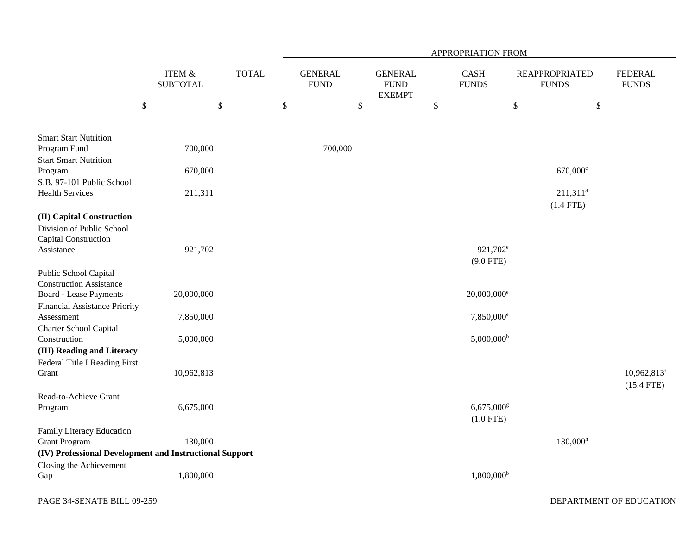|                                                                                                                           |                                      |            |              | APPROPRIATION FROM |                               |              |                                                |        |                                          |                                       |                                       |                                           |
|---------------------------------------------------------------------------------------------------------------------------|--------------------------------------|------------|--------------|--------------------|-------------------------------|--------------|------------------------------------------------|--------|------------------------------------------|---------------------------------------|---------------------------------------|-------------------------------------------|
|                                                                                                                           | <b>ITEM &amp;</b><br><b>SUBTOTAL</b> |            | <b>TOTAL</b> |                    | <b>GENERAL</b><br><b>FUND</b> |              | <b>GENERAL</b><br><b>FUND</b><br><b>EXEMPT</b> |        | <b>CASH</b><br><b>FUNDS</b>              | <b>REAPPROPRIATED</b><br><b>FUNDS</b> |                                       | <b>FEDERAL</b><br><b>FUNDS</b>            |
|                                                                                                                           | $\boldsymbol{\mathsf{S}}$            | $\$$       |              | $\$$               |                               | $\mathbb{S}$ |                                                | $\$\,$ |                                          | \$                                    | $\$$                                  |                                           |
| <b>Smart Start Nutrition</b><br>Program Fund<br><b>Start Smart Nutrition</b>                                              |                                      | 700,000    |              |                    | 700,000                       |              |                                                |        |                                          |                                       |                                       |                                           |
| Program                                                                                                                   |                                      | 670,000    |              |                    |                               |              |                                                |        |                                          |                                       | $670,000$ c                           |                                           |
| S.B. 97-101 Public School<br><b>Health Services</b>                                                                       |                                      | 211,311    |              |                    |                               |              |                                                |        |                                          |                                       | $211,311$ <sup>d</sup><br>$(1.4$ FTE) |                                           |
| (II) Capital Construction<br>Division of Public School<br>Capital Construction<br>Assistance                              |                                      | 921,702    |              |                    |                               |              |                                                |        | 921,702 <sup>e</sup>                     |                                       |                                       |                                           |
| Public School Capital<br><b>Construction Assistance</b><br><b>Board - Lease Payments</b><br>Financial Assistance Priority |                                      | 20,000,000 |              |                    |                               |              |                                                |        | $(9.0$ FTE)<br>$20,000,000$ <sup>e</sup> |                                       |                                       |                                           |
| Assessment                                                                                                                |                                      | 7,850,000  |              |                    |                               |              |                                                |        | 7,850,000 <sup>e</sup>                   |                                       |                                       |                                           |
| Charter School Capital<br>Construction<br>(III) Reading and Literacy                                                      |                                      | 5,000,000  |              |                    |                               |              |                                                |        | $5,000,000$ <sup>b</sup>                 |                                       |                                       |                                           |
| Federal Title I Reading First<br>Grant                                                                                    |                                      | 10,962,813 |              |                    |                               |              |                                                |        |                                          |                                       |                                       | $10,962,813$ <sup>f</sup><br>$(15.4$ FTE) |
| Read-to-Achieve Grant<br>Program                                                                                          |                                      | 6,675,000  |              |                    |                               |              |                                                |        | 6,675,000g<br>$(1.0$ FTE)                |                                       |                                       |                                           |
| Family Literacy Education<br><b>Grant Program</b><br>(IV) Professional Development and Instructional Support              |                                      | 130,000    |              |                    |                               |              |                                                |        |                                          |                                       | $130,000^{\rm h}$                     |                                           |
| Closing the Achievement<br>Gap                                                                                            |                                      | 1,800,000  |              |                    |                               |              |                                                |        | $1,800,000^{\rm b}$                      |                                       |                                       |                                           |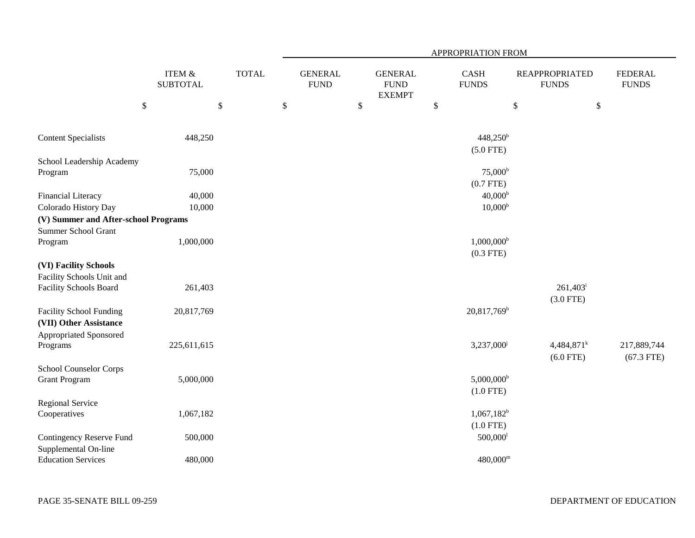|                                                                                    |                           |              | APPROPRIATION FROM |                               |        |                                                |              |                                      |      |                                         |                                |  |  |
|------------------------------------------------------------------------------------|---------------------------|--------------|--------------------|-------------------------------|--------|------------------------------------------------|--------------|--------------------------------------|------|-----------------------------------------|--------------------------------|--|--|
|                                                                                    | ITEM &<br><b>SUBTOTAL</b> | <b>TOTAL</b> |                    | <b>GENERAL</b><br><b>FUND</b> |        | <b>GENERAL</b><br><b>FUND</b><br><b>EXEMPT</b> |              | <b>CASH</b><br><b>FUNDS</b>          |      | <b>REAPPROPRIATED</b><br><b>FUNDS</b>   | <b>FEDERAL</b><br><b>FUNDS</b> |  |  |
|                                                                                    | $\boldsymbol{\$}$         | $\mathbb{S}$ | $\$$               |                               | $\$\,$ |                                                | $\mathbb{S}$ |                                      | $\$$ | $\boldsymbol{\mathsf{S}}$               |                                |  |  |
| <b>Content Specialists</b>                                                         | 448,250                   |              |                    |                               |        |                                                |              | $448,250^b$<br>$(5.0$ FTE)           |      |                                         |                                |  |  |
| School Leadership Academy<br>Program                                               | 75,000                    |              |                    |                               |        |                                                |              | 75,000 <sup>b</sup><br>$(0.7$ FTE)   |      |                                         |                                |  |  |
| Financial Literacy<br>Colorado History Day                                         | 40,000<br>10,000          |              |                    |                               |        |                                                |              | $40,000^{\rm b}$<br>$10,000^{\rm b}$ |      |                                         |                                |  |  |
| (V) Summer and After-school Programs<br>Summer School Grant<br>Program             | 1,000,000                 |              |                    |                               |        |                                                |              | $1,000,000^{\rm b}$                  |      |                                         |                                |  |  |
| (VI) Facility Schools                                                              |                           |              |                    |                               |        |                                                |              | $(0.3$ FTE)                          |      |                                         |                                |  |  |
| Facility Schools Unit and<br>Facility Schools Board                                | 261,403                   |              |                    |                               |        |                                                |              |                                      |      | $261,403$ <sup>i</sup><br>$(3.0$ FTE)   |                                |  |  |
| <b>Facility School Funding</b><br>(VII) Other Assistance<br>Appropriated Sponsored | 20,817,769                |              |                    |                               |        |                                                |              | 20,817,769 <sup>b</sup>              |      |                                         |                                |  |  |
| Programs                                                                           | 225,611,615               |              |                    |                               |        |                                                |              | 3,237,000 <sup>j</sup>               |      | $4,484,871$ <sup>k</sup><br>$(6.0$ FTE) | 217,889,744<br>$(67.3$ FTE)    |  |  |
| <b>School Counselor Corps</b><br><b>Grant Program</b>                              | 5,000,000                 |              |                    |                               |        |                                                |              | $5,000,000^{\rm b}$<br>$(1.0$ FTE)   |      |                                         |                                |  |  |
| <b>Regional Service</b><br>Cooperatives                                            | 1,067,182                 |              |                    |                               |        |                                                |              | $1,067,182^b$<br>$(1.0$ FTE)         |      |                                         |                                |  |  |
| Contingency Reserve Fund<br>Supplemental On-line                                   | 500,000                   |              |                    |                               |        |                                                |              | $500,000$ <sup>1</sup>               |      |                                         |                                |  |  |
| <b>Education Services</b>                                                          | 480,000                   |              |                    |                               |        |                                                |              | $480,000^{\rm m}$                    |      |                                         |                                |  |  |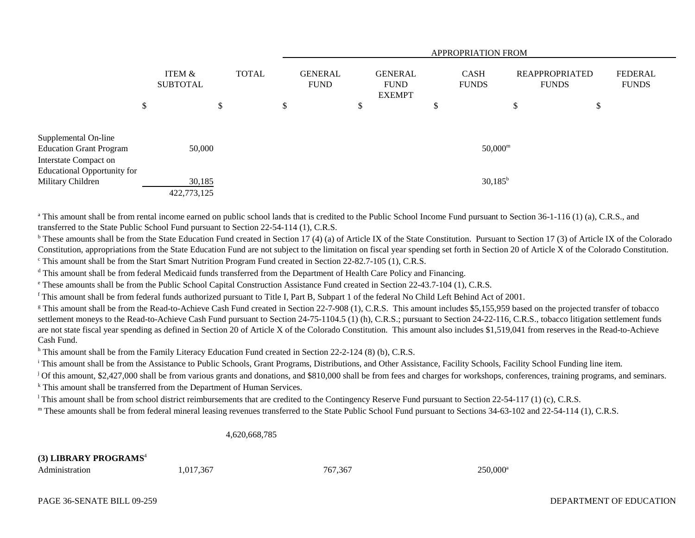|                                                             | <b>APPROPRIATION FROM</b> |                                      |    |              |    |                               |   |                                                |   |                             |                                       |                                |
|-------------------------------------------------------------|---------------------------|--------------------------------------|----|--------------|----|-------------------------------|---|------------------------------------------------|---|-----------------------------|---------------------------------------|--------------------------------|
|                                                             |                           | <b>ITEM &amp;</b><br><b>SUBTOTAL</b> |    | <b>TOTAL</b> |    | <b>GENERAL</b><br><b>FUND</b> |   | <b>GENERAL</b><br><b>FUND</b><br><b>EXEMPT</b> |   | <b>CASH</b><br><b>FUNDS</b> | <b>REAPPROPRIATED</b><br><b>FUNDS</b> | <b>FEDERAL</b><br><b>FUNDS</b> |
|                                                             | \$                        |                                      | \$ |              | \$ |                               | D |                                                | D |                             | \$<br>\$                              |                                |
| Supplemental On-line<br><b>Education Grant Program</b>      |                           | 50,000                               |    |              |    |                               |   |                                                |   | $50,000^{\rm m}$            |                                       |                                |
| Interstate Compact on<br><b>Educational Opportunity for</b> |                           |                                      |    |              |    |                               |   |                                                |   |                             |                                       |                                |
| Military Children                                           |                           | 30,185<br>422,773,125                |    |              |    |                               |   |                                                |   | $30,185^{\rm b}$            |                                       |                                |

<sup>a</sup> This amount shall be from rental income earned on public school lands that is credited to the Public School Income Fund pursuant to Section 36-1-116 (1) (a), C.R.S., and transferred to the State Public School Fund pursuant to Section 22-54-114 (1), C.R.S.

<sup>b</sup> These amounts shall be from the State Education Fund created in Section 17 (4) (a) of Article IX of the State Constitution. Pursuant to Section 17 (3) of Article IX of the Colorado Constitution, appropriations from the State Education Fund are not subject to the limitation on fiscal year spending set forth in Section 20 of Article X of the Colorado Constitution. c This amount shall be from the Start Smart Nutrition Program Fund created in Section 22-82.7-105 (1), C.R.S.

<sup>d</sup> This amount shall be from federal Medicaid funds transferred from the Department of Health Care Policy and Financing.

e These amounts shall be from the Public School Capital Construction Assistance Fund created in Section 22-43.7-104 (1), C.R.S.

f This amount shall be from federal funds authorized pursuant to Title I, Part B, Subpart 1 of the federal No Child Left Behind Act of 2001.

<sup>g</sup> This amount shall be from the Read-to-Achieve Cash Fund created in Section 22-7-908 (1), C.R.S. This amount includes \$5,155,959 based on the projected transfer of tobacco settlement moneys to the Read-to-Achieve Cash Fund pursuant to Section 24-75-1104.5 (1) (h), C.R.S.; pursuant to Section 24-22-116, C.R.S., tobacco litigation settlement funds are not state fiscal year spending as defined in Section 20 of Article X of the Colorado Constitution. This amount also includes \$1,519,041 from reserves in the Read-to-Achieve Cash Fund.

h This amount shall be from the Family Literacy Education Fund created in Section 22-2-124 (8) (b), C.R.S.

<sup>i</sup> This amount shall be from the Assistance to Public Schools, Grant Programs, Distributions, and Other Assistance, Facility Schools, Facility School Funding line item.

<sup>j</sup> Of this amount, \$2,427,000 shall be from various grants and donations, and \$810,000 shall be from fees and charges for workshops, conferences, training programs, and seminars. <sup>k</sup> This amount shall be transferred from the Department of Human Services.

<sup>1</sup> This amount shall be from school district reimbursements that are credited to the Contingency Reserve Fund pursuant to Section 22-54-117 (1) (c), C.R.S.

<sup>m</sup> These amounts shall be from federal mineral leasing revenues transferred to the State Public School Fund pursuant to Sections 34-63-102 and 22-54-114 (1), C.R.S.

4,620,668,785

# **(3) LIBRARY PROGRAMS**<sup>4</sup>

| .017.367<br>Administration | 767.367 | 250,000 <sup>a</sup> |
|----------------------------|---------|----------------------|
|----------------------------|---------|----------------------|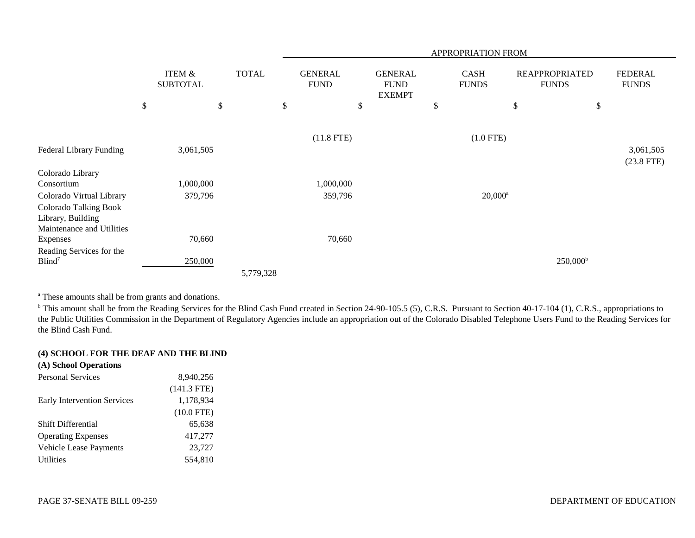|                                |           |                           |    |              | <b>APPROPRIATION FROM</b> |                               |    |                                                |    |                             |                                       |                   |           |                                |
|--------------------------------|-----------|---------------------------|----|--------------|---------------------------|-------------------------------|----|------------------------------------------------|----|-----------------------------|---------------------------------------|-------------------|-----------|--------------------------------|
|                                |           | ITEM &<br><b>SUBTOTAL</b> |    | <b>TOTAL</b> |                           | <b>GENERAL</b><br><b>FUND</b> |    | <b>GENERAL</b><br><b>FUND</b><br><b>EXEMPT</b> |    | <b>CASH</b><br><b>FUNDS</b> | <b>REAPPROPRIATED</b><br><b>FUNDS</b> |                   |           | <b>FEDERAL</b><br><b>FUNDS</b> |
|                                | \$        |                           | \$ | \$           |                           |                               | \$ |                                                | \$ |                             | \$                                    | \$                |           |                                |
|                                |           |                           |    |              |                           |                               |    |                                                |    |                             |                                       |                   |           |                                |
|                                |           |                           |    |              | $(11.8$ FTE)              |                               |    | $(1.0$ FTE)                                    |    |                             |                                       |                   |           |                                |
| <b>Federal Library Funding</b> | 3,061,505 |                           |    |              |                           |                               |    |                                                |    |                             |                                       |                   | 3,061,505 |                                |
|                                |           |                           |    |              |                           |                               |    |                                                |    |                             |                                       |                   |           | $(23.8$ FTE)                   |
| Colorado Library               |           |                           |    |              |                           |                               |    |                                                |    |                             |                                       |                   |           |                                |
| Consortium                     |           | 1,000,000                 |    |              |                           | 1,000,000                     |    |                                                |    |                             |                                       |                   |           |                                |
| Colorado Virtual Library       |           | 379,796                   |    |              |                           | 359,796                       |    |                                                |    | $20,000^a$                  |                                       |                   |           |                                |
| <b>Colorado Talking Book</b>   |           |                           |    |              |                           |                               |    |                                                |    |                             |                                       |                   |           |                                |
| Library, Building              |           |                           |    |              |                           |                               |    |                                                |    |                             |                                       |                   |           |                                |
| Maintenance and Utilities      |           |                           |    |              |                           |                               |    |                                                |    |                             |                                       |                   |           |                                |
| Expenses                       |           | 70,660                    |    |              |                           | 70,660                        |    |                                                |    |                             |                                       |                   |           |                                |
| Reading Services for the       |           |                           |    |              |                           |                               |    |                                                |    |                             |                                       |                   |           |                                |
| Blind <sup>7</sup>             |           | 250,000                   |    |              |                           |                               |    |                                                |    |                             |                                       | $250,000^{\rm b}$ |           |                                |
|                                |           |                           |    | 5,779,328    |                           |                               |    |                                                |    |                             |                                       |                   |           |                                |

a These amounts shall be from grants and donations.

<sup>b</sup> This amount shall be from the Reading Services for the Blind Cash Fund created in Section 24-90-105.5 (5), C.R.S. Pursuant to Section 40-17-104 (1), C.R.S., appropriations to the Public Utilities Commission in the Department of Regulatory Agencies include an appropriation out of the Colorado Disabled Telephone Users Fund to the Reading Services for the Blind Cash Fund.

# **(4) SCHOOL FOR THE DEAF AND THE BLIND**

| 8,940,256     |
|---------------|
| $(141.3$ FTE) |
| 1,178,934     |
| $(10.0$ FTE)  |
| 65,638        |
| 417,277       |
| 23,727        |
| 554,810       |
|               |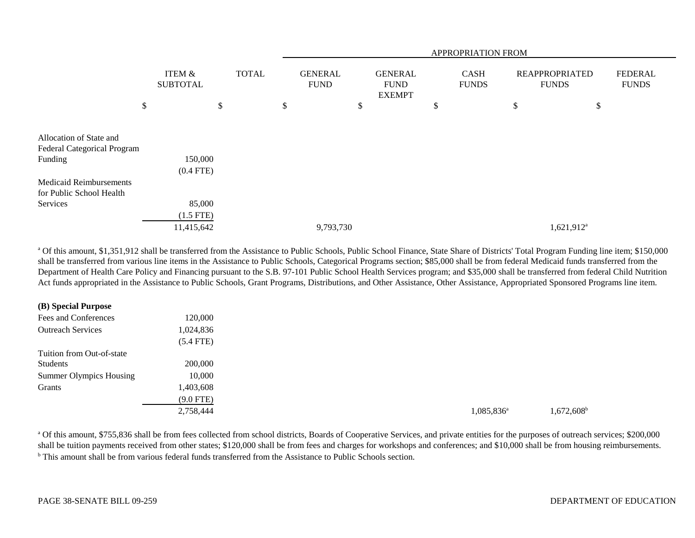|                                                            |                           |              |                               | APPROPRIATION FROM                             |                             |                                       |                                |  |  |  |  |
|------------------------------------------------------------|---------------------------|--------------|-------------------------------|------------------------------------------------|-----------------------------|---------------------------------------|--------------------------------|--|--|--|--|
|                                                            | ITEM &<br><b>SUBTOTAL</b> | <b>TOTAL</b> | <b>GENERAL</b><br><b>FUND</b> | <b>GENERAL</b><br><b>FUND</b><br><b>EXEMPT</b> | <b>CASH</b><br><b>FUNDS</b> | <b>REAPPROPRIATED</b><br><b>FUNDS</b> | <b>FEDERAL</b><br><b>FUNDS</b> |  |  |  |  |
|                                                            | \$                        | \$           | \$                            | \$                                             | \$                          | \$<br>\$                              |                                |  |  |  |  |
| Allocation of State and<br>Federal Categorical Program     |                           |              |                               |                                                |                             |                                       |                                |  |  |  |  |
| Funding                                                    | 150,000<br>$(0.4$ FTE)    |              |                               |                                                |                             |                                       |                                |  |  |  |  |
| <b>Medicaid Reimbursements</b><br>for Public School Health |                           |              |                               |                                                |                             |                                       |                                |  |  |  |  |
| Services                                                   | 85,000                    |              |                               |                                                |                             |                                       |                                |  |  |  |  |
|                                                            | $(1.5$ FTE)               |              |                               |                                                |                             |                                       |                                |  |  |  |  |
|                                                            | 11,415,642                |              | 9,793,730                     |                                                |                             | 1,621,912 <sup>a</sup>                |                                |  |  |  |  |

<sup>a</sup> Of this amount, \$1,351,912 shall be transferred from the Assistance to Public Schools, Public School Finance, State Share of Districts' Total Program Funding line item; \$150,000 shall be transferred from various line items in the Assistance to Public Schools, Categorical Programs section; \$85,000 shall be from federal Medicaid funds transferred from the Department of Health Care Policy and Financing pursuant to the S.B. 97-101 Public School Health Services program; and \$35,000 shall be transferred from federal Child Nutrition Act funds appropriated in the Assistance to Public Schools, Grant Programs, Distributions, and Other Assistance, Other Assistance, Appropriated Sponsored Programs line item.

#### **(B) Special Purpose**

| Fees and Conferences           | 120,000     |
|--------------------------------|-------------|
| <b>Outreach Services</b>       | 1,024,836   |
|                                | $(5.4$ FTE) |
| Tuition from Out-of-state      |             |
| <b>Students</b>                | 200,000     |
| <b>Summer Olympics Housing</b> | 10,000      |
| Grants                         | 1,403,608   |
|                                | $(9.0$ FTE) |
|                                | 2,758,444   |

 $2,758,444$   $1,672,608$ b

<sup>a</sup> Of this amount, \$755,836 shall be from fees collected from school districts, Boards of Cooperative Services, and private entities for the purposes of outreach services; \$200,000 shall be tuition payments received from other states; \$120,000 shall be from fees and charges for workshops and conferences; and \$10,000 shall be from housing reimbursements. <sup>b</sup> This amount shall be from various federal funds transferred from the Assistance to Public Schools section.